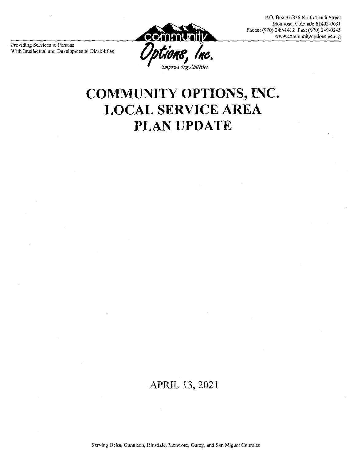P.O. Box 31/336 South Tenth Street Montrose, Colorado 81402-0031 Phone: (970) 249-1412 Fax: (970) 249-0245 www.communityoptionsinc.org

Providing Services to Persons With Intellectual and Developmental Disabilities



# COMMUNITY OPTIONS, INC. **LOCAL SERVICE AREA** PLAN UPDATE

## APRIL 13, 2021

Serving Delta, Gunnison, Hinsdale, Montrose, Ouray, and San Miguel Counties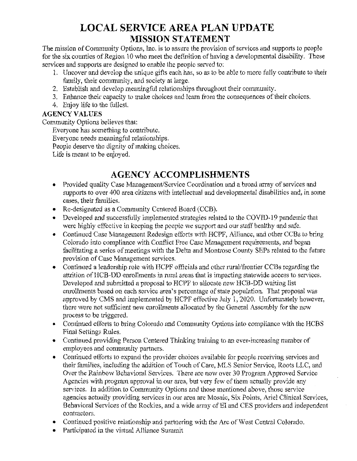# **LOCAL SERVICE AREA PLAN UPDATE MISSION STATEMENT**

The mission of Community Options, Inc. is to assure the provision of services and supports to people for the six counties of Region 10 who meet the definition of having a developmental disability. These services and supports are designed to enable the people served to:

- 1. Uncover and develop the unique gifts each has, so as to be able to more fully contribute to their family, their community, and society at large.
- 2. Establish and develop meaningful relationships throughout their community.
- 3. Enhance their capacity to make choices and learn from the consequences of their choices.
- 4. Enjoy life to the fullest.

#### **AGENCY VALUES**

Community Options believes that:

Everyone has something to contribute.

Everyone needs meaningful relationships.

People deserve the dignity of making choices.

Life is meant to be enjoyed.

## AGENCY ACCOMPLISHMENTS

- Provided quality Case Management/Service Coordination and a broad array of services and supports to over 400 area citizens with intellectual and developmental disabilities and, in some cases, their families.
- Re-designated as a Community Centered Board (CCB).
- Developed and successfully implemented strategies related to the COVID-19 pandemic that were highly effective in keeping the people we support and our staff healthy and safe.
- Continued Case Management Redesign efforts with HCPF, Alliance, and other CCBs to bring Colorado into compliance with Conflict Free Case Management requirements, and began facilitating a series of meetings with the Delta and Montrose County SEPs related to the future provision of Case Management services.
- Continued a leadership role with HCPF officials and other rural/frontier CCBs regarding the attrition of HCB-DD enrollments in rural areas that is impacting statewide access to services. Developed and submitted a proposal to HCPF to allocate new HCB-DD waiting list enrollments based on each service area's percentage of state population. That proposal was approved by CMS and implemented by HCPF effective July 1, 2020. Unfortunately however, there were not sufficient new enrollments allocated by the General Assembly for the new process to be triggered.
- Continued efforts to bring Colorado and Community Options into compliance with the HCBS Final Settings Rules.
- Continued providing Person Centered Thinking training to an ever-increasing number of employees and community partners.
- Continued efforts to expand the provider choices available for people receiving services and their families, including the addition of Touch of Care, MLS Senior Service, Roots LLC, and Over the Rainbow Behavioral Services. There are now over 30 Program Approved Service Agencies with program approval in our area, but very few of them actually provide any services. In addition to Community Options and those mentioned above, those service agencies actually providing services in our area are Mosaic, Six Points, Ariel Clinical Services, Behavioral Services of the Rockies, and a wide array of EI and CES providers and independent contractors.
- Continued positive relationship and partnering with the Arc of West Central Colorado.
- Participated in the virtual Alliance Summit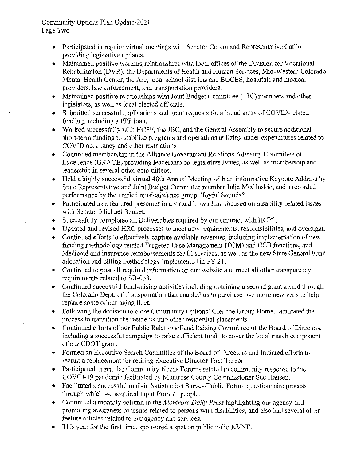Community Options Plan Update-2021 Page Two

- Participated in regular virtual meetings with Senator Coram and Representative Catlin  $\bullet$ providing legislative updates.
- Maintained positive working relationships with local offices of the Division for Vocational Rehabilitation (DVR), the Departments of Health and Human Services, Mid-Western Colorado Mental Health Center, the Arc, local school districts and BOCES, hospitals and medical providers, law enforcement, and transportation providers.
- Maintained positive relationships with Joint Budget Committee (JBC) members and other legislators, as well as local elected officials.
- Submitted successful applications and grant requests for a broad array of COVID-related funding, including a PPP loan.
- Worked successfully with HCPF, the JBC, and the General Assembly to secure additional short-term funding to stabilize programs and operations utilizing under expenditures related to COVID occupancy and other restrictions.
- Continued membership in the Alliance Government Relations Advisory Committee of  $\bullet$ Excellence (GRACE) providing leadership on legislative issues, as well as membership and leadership in several other committees.
- Held a highly successful virtual 48th Annual Meeting with an informative Keynote Address by  $\bullet$ State Representative and Joint Budget Committee member Julie McCluskie, and a recorded performance by the unified musical/dance group "Joyful Sounds".
- Participated as a featured presenter in a virtual Town Hall focused on disability-related issues  $\bullet$ with Senator Michael Bennet.
- Successfully completed all Deliverables required by our contract with HCPF.  $\bullet$
- Updated and revised HRC processes to meet new requirements, responsibilities, and oversight.  $\bullet$
- Continued efforts to effectively capture available revenues, including implementation of new  $\bullet$ funding methodology related Targeted Case Management (TCM) and CCB functions, and Medicaid and insurance reimbursements for EI services, as well as the new State General Fund allocation and billing methodology implemented in FY 21.
- Continued to post all required information on our website and meet all other transparency requirements related to SB-038.
- Continued successful fund-raising activities including obtaining a second grant award through the Colorado Dept. of Transportation that enabled us to purchase two more new vans to help replace some of our aging fleet.
- Following the decision to close Community Options' Glencoe Group Home, facilitated the process to transition the residents into other residential placements.
- Continued efforts of our Public Relations/Fund Raising Committee of the Board of Directors, including a successful campaign to raise sufficient funds to cover the local match component of our CDOT grant.
- Formed an Executive Search Committee of the Board of Directors and initiated efforts to recruit a replacement for retiring Executive Director Tom Turner.
- Participated in regular Community Needs Forums related to community response to the COVID-19 pandemic facilitated by Montrose County Commissioner Sue Hansen.
- Facilitated a successful mail-in Satisfaction Survey/Public Forum question aire process through which we acquired input from 71 people.
- Continued a monthly column in the *Montrose Daily Press* highlighting our agency and promoting awareness of issues related to persons with disabilities, and also had several other feature articles related to our agency and services.
- This year for the first time, sponsored a spot on public radio KVNF.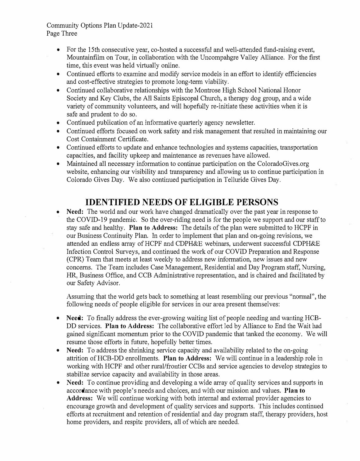Community Options Plan Update-2021 Page Three

- For the 15th consecutive year, co-hosted a successful and well-attended fund-raising event, Mountainfilm on Tour, in collaboration with the Uncompahgre Valley Alliance. For the first time, this event was held virtually online.
- Continued efforts to examine and modify service models in an effort to identify efficiencies and cost-effective strategies to promote long-term viability.
- Continued collaborative relationships with the Montrose High School National Honor Society and Key Clubs, the All Saints Episcopal Church, a therapy dog group, and a wide variety of community volunteers, and will hopefully re-initiate these activities when it is safe and prudent to do so.
- Continued publication of an informative quarterly agency newsletter.
- Continued efforts focused on work safety and risk management that resulted in maintaining our Cost Containment Certificate.
- Continued efforts to update and enhance technologies and systems capacities, transportation capacities, and facility upkeep and maintenance as revenues have allowed.
- Maintained all necessary information to continue participation on the ColoradoGives.org website, enhancing our visibility and transparency and allowing us to continue participation in Colorado Gives Day. We also continued participation in Telluride Gives Day.

## **IDENTIFIED NEEDS OF ELIGIBLE PERSONS**

• **Need:** The world and our work have changed dramatically over the past year in response to the COVID-19 pandemic. So the over-riding need is for the people we support and our staff to stay safe and healthy. **Plan to Address:** The details of the plan were submitted to HCPF in our Business Continuity Plan. In order to implement that plan and on-going revisions, we attended an endless array ofHCPF and CDPH&E webinars, underwent successful CDPH&E Infection Control Surveys, and continued the work of our COVID Preparation and Response (CPR) Team that meets at least weekly to address new information, new issues and new concerns. The Team includes Case Management, Residential and Day Program staff, Nursing, HR, Business Office, and CCB Administrative representation, and is chaired and facilitated by our Safety Advisor.

Assuming that the world gets back to something at least resembling our previous "nonnal", the following needs of people eligible for services in our area present themselves:

- **Need:** To finally address the ever-growing waiting list of people needing and wanting HCB-DD services. **Plan to Address:** The collaborative effort led by Alliance to End the Wait had gained significant momentum prior to the COVID pandemic that tanked the economy. We will resume those efforts in future, hopefully better times.
- **Need:** To address the shrinking service capacity and availability related to the on-going attrition ofHCB-DD enrollments. **Plan to Address:** We will continue in a leadership role in working with HCPF and other rural/frontier CCBs and service agencies to develop strategies to stabilize service capacity and availability in those areas.
- **Need:** To continue providing and developing a wide array of quality services and supports in accordance with people's needs and choices, and with our mission and values. **Plan to** Address: We will continue working with both internal and external provider agencies to encourage growth and development of quality services and supports. This includes continued efforts at recruitment and retention of residential and day program staff, therapy providers, host home providers, and respite providers, all of which are needed.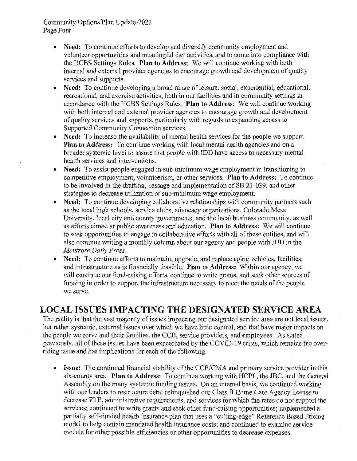Community Options Plan Update-2021 Page Four

- Need: To continue efforts to develop and diversify community employment and volunteer opportunities and meaningful day activities, and to come into compliance with the HCBS Settings Rules. Plan to Address: We will continue working with both internal and external provider agencies to encourage growth and development of quality services and supports.
- Need: To continue developing a broad range of leisure, social, experiential, educational,  $\bullet$ recreational, and exercise activities, both in our facilities and in community settings in accordance with the HCBS Settings Rules. Plan to Address: We will continue working with both internal and external provider agencies to encourage growth and development of quality services and supports, particularly with regards to expanding access to Supported Community Connection services.
- Need: To increase the availability of mental health services for the people we support. **Plan to Address:** To continue working with local mental health agencies and on a broader systemic level to assure that people with IDD have access to necessary mental health services and interventions.
- Need: To assist people engaged in sub-minimum wage employment in transitioning to competitive employment, volunteerism, or other services. Plan to Address: To continue to be involved in the drafting, passage and implementation of SB 21-039, and other strategies to decrease utilization of sub-minimum wage employment.
- Need: To continue developing collaborative relationships with community partners such as the local high schools, service clubs, advocacy organizations, Colorado Mesa University, local city and county governments, and the local business community, as well as efforts aimed at public awareness and education. Plan to Address: We will continue to seek opportunities to engage in collaborative efforts with all of these entities, and will also continue writing a monthly column about our agency and people with IDD in the Montrose Daily Press.
- Need: To continue efforts to maintain, upgrade, and replace aging vehicles, facilities,  $\bullet$ and infrastructure as is financially feasible. Plan to Address: Within our agency, we will continue our fund-raising efforts, continue to write grants, and seek other sources of funding in order to support the infrastructure necessary to meet the needs of the people we serve.

### **LOCAL ISSUES IMPACTING THE DESIGNATED SERVICE AREA**

The reality is that the vast majority of issues impacting our designated service area are not local issues, but rather systemic, external issues over which we have little control, and that have major impacts on the people we serve and their families, the CCB, service providers, and employees. As stated previously, all of these issues have been exacerbated by the COVID-19 crisis, which remains the overriding issue and has implications for each of the following.

• Issue: The continued financial viability of the CCB/CMA and primary service provider in this six-county area. Plan to Address: To continue working with HCPF, the JBC, and the General Assembly on the many systemic funding issues. On an internal basis, we continued working with our lenders to restructure debt; relinquished our Class B Home Care Agency license to decrease FTE, administrative requirements, and services for which the rates do not support the services; continued to write grants and seek other fund-raising opportunities; implemented a partially self-funded health insurance plan that uses a "cutting-edge" Reference Based Pricing model to help contain mandated health insurance costs; and continued to examine service models for other possible efficiencies or other opportunities to decrease expenses.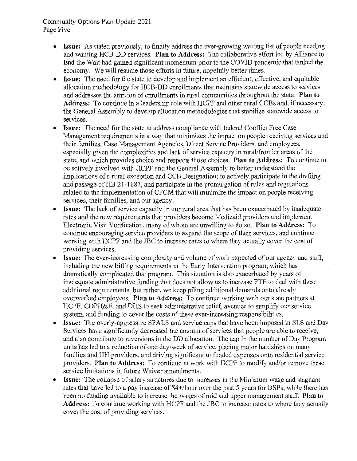#### Community Options Plan Update-2021 Page Five

- Issue: As stated previously, to finally address the ever-growing waiting list of people needing and wanting HCB-DD services. Plan to Address: The collaborative effort led by Alliance to End the Wait had gained significant momentum prior to the COVID pandemic that tanked the economy. We will resume those efforts in future, hopefully better times.
- **Issue:** The need for the state to develop and implement an efficient, effective, and equitable allocation methodology for HCB-DD enrollments that maintains statewide access to services and addresses the attrition of enrollments in rural communities throughout the state. Plan to Address: To continue in a leadership role with HCPF and other rural CCBs and, if necessary, the General Assembly to develop allocation methodologies that stabilize statewide access to services.
- Issue: The need for the state to address compliance with federal Conflict Free Case Management requirements in a way that minimizes the impact on people receiving services and their families, Case Management Agencies, Direct Service Providers, and employees, especially given the complexities and lack of service capacity in rural/frontier areas of the state, and which provides choice and respects those choices. Plan to Address: To continue to be actively involved with HCPF and the General Assembly to better understand the implications of a rural exception and CCB Designation; to actively participate in the drafting and passage of HB 21-1187, and participate in the promulgation of rules and regulations related to the implementation of CFCM that will minimize the impact on people receiving services, their families, and our agency.
- Issue: The lack of service capacity in our rural area that has been exacerbated by inadequate rates and the new requirements that providers become Medicaid providers and implement Electronic Visit Verification, many of whom are unwilling to do so. Plan to Address: To continue encouraging service providers to expand the scope of their services, and continue working with HCPF and the JBC to increase rates to where they actually cover the cost of providing services.
- **Issue:** The ever-increasing complexity and volume of work expected of our agency and staff, including the new billing requirements in the Early Intervention program, which has dramatically complicated that program. This situation is also exacerbated by years of inadequate administrative funding that does not allow us to increase FTE to deal with these additional requirements, but rather, we keep piling additional demands onto already overworked employees. Plan to Address: To continue working with our state partners at HCPF, CDPH&E, and DHS to seek administrative relief, avenues to simplify our service system, and funding to cover the costs of these ever-increasing responsibilities.
- Issue: The overly-aggressive SPALS and service caps that have been imposed in SLS and Day Services have significantly decreased the amount of services that people are able to receive, and also contribute to reversions in the DD allocation. The cap in the number of Day Program units has led to a reduction of one day/week of service, placing major hardships on many families and HH providers, and driving significant unfunded expenses onto residential service providers. Plan to Address: To continue to work with HCPF to modify and/or remove these service limitations in future Waiver amendments.
- **Issue:** The collapse of salary structures due to increases in the Minimum wage and stagnant rates that have led to a pay increase of \$4+/hour over the past 5 years for DSPs, while there has been no funding available to increase the wages of mid and upper management staff. Plan to Address: To continue working with HCPF and the JBC to increase rates to where they actually cover the cost of providing services.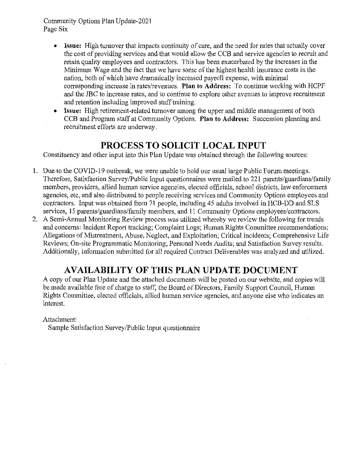Community Options Plan Update-2021 Page Six

- Issue: High turnover that impacts continuity of care, and the need for rates that actually cover the cost of providing services and that would allow the CCB and service agencies to recruit and retain quality employees and contractors. This has been exacerbated by the increases in the Minimum Wage and the fact that we have some of the highest health insurance costs in the nation, both of which have dramatically increased payroll expense, with minimal corresponding increase in rates/revenues. Plan to Address: To continue working with HCPF and the JBC to increase rates, and to continue to explore other avenues to improve recruitment and retention including improved staff training.
- Issue: High retirement-related turnover among the upper and middle management of both CCB and Program staff at Community Options. Plan to Address: Succession planning and recruitment efforts are underway.

#### **PROCESS TO SOLICIT LOCAL INPUT**

Constituency and other input into this Plan Update was obtained through the following sources:

- 1. Due to the COVID-19 outbreak, we were unable to hold our usual large Public Forum meetings. Therefore, Satisfaction Survey/Public Input questionnaires were mailed to 221 parents/guardians/family members, providers, allied human service agencies, elected officials, school districts, law enforcement agencies, etc, and also distributed to people receiving services and Community Options employees and contractors. Input was obtained from 71 people, including 45 adults involved in HCB-DD and SLS services, 15 parents/guardians/family members, and 11 Community Options employees/contractors.
- 2. A Semi-Annual Monitoring Review process was utilized whereby we review the following for trends and concerns: Incident Report tracking; Complaint Logs; Human Rights Committee recommendations; Allegations of Mistreatment, Abuse, Neglect, and Exploitation; Critical Incidents; Comprehensive Life Reviews; On-site Programmatic Monitoring; Personal Needs Audits; and Satisfaction Survey results. Additionally, information submitted for all required Contract Deliverables was analyzed and utilized.

### **AVAILABILITY OF THIS PLAN UPDATE DOCUMENT**

A copy of our Plan Update and the attached documents will be posted on our website, and copies will be made available free of charge to staff, the Board of Directors, Family Support Council, Human Rights Committee, elected officials, allied human service agencies, and anyone else who indicates an interest.

Attachment:

Sample Satisfaction Survey/Public Input questionnaire